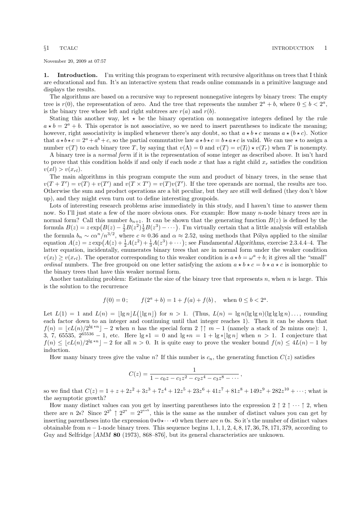<span id="page-0-0"></span>November 20, 2009 at 07:57

1. Introduction. I'm writing this program to experiment with recursive algorithms on trees that I think are educational and fun. It's an interactive system that reads online commands in a primitive language and displays the results.

The algorithms are based on a recursive way to represent nonnegative integers by binary trees: The empty tree is  $r(0)$ , the representation of zero. And the tree that represents the number  $2^a + b$ , where  $0 \le b < 2^a$ , is the binary tree whose left and right subtrees are  $r(a)$  and  $r(b)$ .

Stating this another way, let  $\star$  be the binary operation on nonnegative integers defined by the rule  $a * b = 2^a + b$ . This operator is not associative, so we need to insert parentheses to indicate the meaning; however, right associativity is implied whenever there's any doubt, so that  $a \star b \star c$  means  $a \star (b \star c)$ . Notice that  $a \star b \star c = 2^a + a^b + c$ , so the partial commutative law  $a \star b \star c = b \star a \star c$  is valid. We can use  $\star$  to assign a number  $v(T)$  to each binary tree T, by saying that  $v(\Lambda) = 0$  and  $v(T) = v(T_l) \star v(T_r)$  when T is nonempty.

A binary tree is a normal form if it is the representation of some integer as described above. It isn't hard to prove that this condition holds if and only if each node  $x$  that has a right child  $x_r$  satisfies the condition  $v(x_l) > v(x_{rl}).$ 

The main algorithms in this program compute the sum and product of binary trees, in the sense that  $v(T+T') = v(T) + v(T')$  and  $v(T \times T') = v(T)v(T')$ . If the tree operands are normal, the results are too. Otherwise the sum and product operations are a bit peculiar, but they are still well defined (they don't blow up), and they might even turn out to define interesting groupoids.

Lots of interesting research problems arise immediately in this study, and I haven't time to answer them now. So I'll just state a few of the more obvious ones. For example: How many n-node binary trees are in normal form? Call this number  $b_{n+1}$ . It can be shown that the generating function  $B(z)$  is defined by the formula  $B(z) = z \exp(B(z) - \frac{1}{2}B(z^2)\frac{1}{3}B(z^3) - \cdots)$ . I'm virtually certain that a little analysis will establish the formula  $b_n \sim c\alpha^n/n^{3/2}$ , where  $c \approx 0.36$  and  $\alpha \approx 2.52$ , using methods that Pólya applied to the similar equation  $A(z) = z \exp(A(z) + \frac{1}{2}A(z^2) + \frac{1}{3}A(z^3) + \cdots)$ ; see Fundamental Algorithms, exercise 2.3.4.4–4. The latter equation, incidentally, enumerates binary trees that are in normal form under the weaker condition  $v(x_l) \ge v(x_{rl})$ . The operator corresponding to this weaker condition is  $a \star b = \omega^a + b$ ; it gives all the "small" *ordinal* numbers. The free groupoid on one letter satisfying the axiom  $a * b * c = b * a * c$  is isomorphic to the binary trees that have this weaker normal form.

Another tantalizing problem: Estimate the size of the binary tree that represents n, when  $n$  is large. This is the solution to the recurrence

$$
f(0) = 0;
$$
  $f(2a + b) = 1 + f(a) + f(b),$  when  $0 \le b < 2a$ .

Let  $L(1) = 1$  and  $L(n) = |\lg n| L(|\lg n|)$  for  $n > 1$ . (Thus,  $L(n) = \lg n(\lg \lg n)(\lg \lg \lg n) \ldots$ , rounding each factor down to an integer and continuing until that integer reaches 1). Then it can be shown that  $f(n) = \lfloor cL(n)/2^{\lg * n}\rfloor - 2$  when n has the special form  $2 \uparrow \uparrow m - 1$  (namely a stack of 2s minus one): 1, 3, 7, 65535,  $2^{65536} - 1$ , etc. Here  $\lg *1 = 0$  and  $\lg *n = 1 + \lg * \lfloor \lg n \rfloor$  when  $n > 1$ . I conjecture that  $f(n) \leq \lfloor cL(n)/2^{\lg * n}\rfloor - 2$  for all  $n > 0$ . It is quite easy to prove the weaker bound  $f(n) \leq 4L(n) - 1$  by induction.

How many binary trees give the value n? If this number is  $c_n$ , the generating function  $C(z)$  satisfies

$$
C(z) = \frac{1}{1 - c_0 z - c_1 z^2 - c_2 z^4 - c_3 z^8 - \cdots},
$$

so we find that  $C(z) = 1 + z + 2z^2 + 3z^3 + 7z^4 + 12z^5 + 23z^6 + 41z^7 + 81z^8 + 149z^9 + 282z^{10} + \cdots$ ; what is the asymptotic growth?

How many distinct values can you get by inserting parentheses into the expression  $2 \uparrow 2 \uparrow \cdots \uparrow 2$ , when there are n 2s? Since  $2^{2^b} \uparrow 2^{2^a} = 2^{2^{a+b}}$ , this is the same as the number of distinct values you can get by inserting parentheses into the expression  $0\star 0\star \cdots \star 0$  when there are n 0s. So it's the number of distinct values obtainable from  $n-1$ -node binary trees. This sequence begins  $1, 1, 1, 2, 4, 8, 17, 36, 78, 171, 379$ , according to Guy and Selfridge [AMM 80 (1973), 868–876], but its general characteristics are unknown.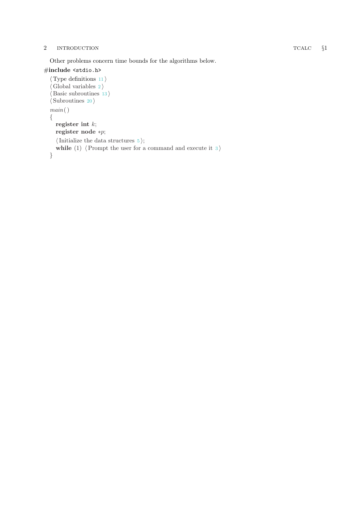### 2 INTRODUCTION TCALC

Other problems concern time bounds for the algorithms below.

## #include <stdio.h>

```
\langle11\rangle\langle2\rangle\langle13\rangle\langle20\ranglemain( ) {
  register int k;
  register node *p;
  \langle Initialize the data structures 5;
  while (1) (Prompt the user for a command and execute it 3)
}
```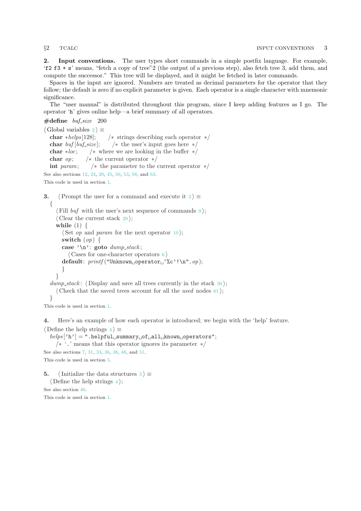<span id="page-2-0"></span>2. Input conventions. The user types short commands in a simple postfix language. For example, 'f2 f3 + s' means, "fetch a copy of tree"2 (the output of a previous step), also fetch tree 3, add them, and compute the successor." This tree will be displayed, and it might be fetched in later commands.

Spaces in the input are ignored. Numbers are treated as decimal parameters for the operator that they follow; the default is zero if no explicit parameter is given. Each operator is a single character with mnemonic significance.

The "user manual" is distributed throughout this program, since I keep adding features as I go. The operator 'h' gives online help—a brief summary of all operators.

```
\#\text{define}\ \textit{buf\_size}\ \text{200}
```
 $\langle$  Global variables 2 $\rangle \equiv$ char ∗helps [128]; /\* strings describing each operator  $*/$ char buf [buf\_size]; /\* the user's input goes here  $*/$ char  $\ast loc$ ; / $\ast$  where we are looking in the buffer  $\ast$ / char *op*;  $/*$  the current operator  $*/$ int param;  $/*$  the parameter to the current operator  $*/$ 

See also sections [12](#page-4-0), [24,](#page-9-0) [28](#page-11-0), [45](#page-16-0), [50,](#page-18-0) [53](#page-19-0), [58,](#page-21-0) and [63](#page-23-0).

This code is used in section [1](#page-0-0).

3.  $\langle$  Prompt the user for a command and execute it 3  $\rangle \equiv$ { (Fill buf with the user's next sequence of commands  $9$ );  $\langle$  Clear the current stack [29](#page-11-0) $\rangle$ ; while  $(1) \{$ 

```
\langle Set op and param10\rangle;
  switch (op) {
  case '\n': goto dump\_stack;\langle6 \rangledefault: printf ("Unknown operator '%c'!\n", op);
  }
 }
dump_stack: \langle30\rangle;
 \langle61\rangle;
```
}

This code is used in section [1](#page-0-0).

4. Here's an example of how each operator is introduced; we begin with the 'help' feature.

 $\langle$  Define the help strings 4  $\rangle \equiv$ 

 $helps['h'] = "helpful<sub>U</sub>summary<sub>U</sub>of<sub>U</sub>all<sub>U</sub>known<sub>U</sub> operators";$ /∗ '.' means that this operator ignores its parameter ∗/ See also sections [7,](#page-3-0) [31,](#page-11-0) [33](#page-12-0), [36,](#page-12-0) [38](#page-13-0), [48](#page-17-0), and [51](#page-18-0).

This code is used in section 5.

5. (Initialize the data structures  $5 \geq$  $\langle$  Define the help strings 4 $\rangle$ ; See also section [46.](#page-16-0) This code is used in section [1](#page-0-0).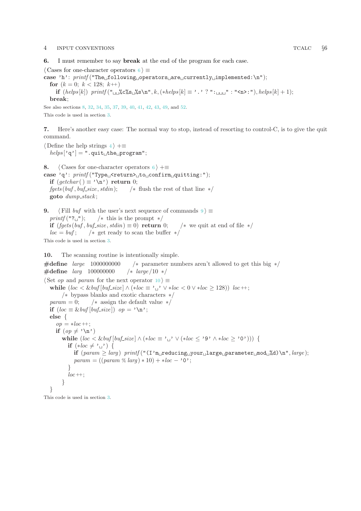### <span id="page-3-0"></span>4 INPUT CONVENTIONS TCALC §6

6. I must remember to say break at the end of the program for each case.

 $\langle$  Cases for one-character operators 6  $\rangle \equiv$ 

case 'h':  $print(f("The<sub>U</sub> following<sub>U</sub> operators<sub>U</sub> are<sub>U</sub> currently<sub>U</sub>implemented:\n $\nabla$$ for  $(k = 0; k < 128; k++)$ if  $(helps[k])$  printf  $("_{\sqcup\omega}\&c'\&s_{\sqcup}\&s\&m", k, (*helps[k] \equiv '.'']': "_{\sqcup\sqcup\sqcup}" : "\langle n \rangle : "), helps[k] + 1);$ break;

See also sections 8, [32,](#page-12-0) [34](#page-12-0), [35,](#page-12-0) [37](#page-13-0), [39](#page-13-0), [40,](#page-13-0) [41](#page-14-0), [42](#page-14-0), [43,](#page-15-0) [49](#page-17-0), and [52](#page-19-0). This code is used in section [3](#page-2-0).

7. Here's another easy case: The normal way to stop, instead of resorting to control-C, is to give the quit command.

 $\langle$  Define the help strings [4](#page-2-0)  $\rangle$  +≡  $helps['q'] = ".quit<sub>u</sub>the<sub>u</sub>program";$ 

8.  $\langle$  Cases for one-character operators 6  $\rangle$  +≡ case 'q':  $print$ [ "Type<sub> $\sqcup$ </sub> <return> $\sqcup$ to $\sqcup$ confirm $\sqcup$ quitting:"); if  $(getchar() \equiv 'n')$  return 0;  $fgets (buf,buf\_size, stdin);$  /\* flush the rest of that line  $*/$ goto dump\_stack;

9. (Fill buf with the user's next sequence of commands  $9$ )  $\equiv$  $printf("?``'')$ ; /\* this is the prompt \*/ if  $(fgets (buf,buf\_size, stdin) \equiv 0)$  return 0;  $/*$  we quit at end of file  $*/$  $loc = buf$ ;  $/* get ready to scan the buffer */$ This code is used in section [3](#page-2-0).

10. The scanning routine is intentionally simple.

#define large 1000000000 /∗ parameter numbers aren't allowed to get this big ∗/ #define larg 100000000 /∗ large /10 ∗/  $\langle$  Set *op* and *param* for the next operator 10  $\rangle \equiv$ while  $(loc < \&\, [but\_size] \wedge (*loc \equiv \prime_{\perp} \vee *loc < 0 \vee *loc > 128))$  loc  $\rightarrow$ ; /∗ bypass blanks and exotic characters ∗/  $param = 0;$  /\* assign the default value \*/ if  $(loc \equiv \&\, [but\_size])$  op = '\n'; else {  $op = *loc +$ ; if  $(op \neq ' \n\land n')$ while  $(loc < \&buf[buf\_size] \wedge (*loc \equiv '_1' \vee (*loc \le '9' \wedge *loc \ge '0'))$  { if  $(*loc \neq ' \rightharpoonup') \{$ if  $(parent \geq larg)$  printf  $("I'm_Ureducing_Uyour_Ularge_Uparameter_Umod_U'A)\n", large);$  $param = ((param % large) * 10) + *loc - '0';$ }  $loc +$ : } }

This code is used in section [3](#page-2-0).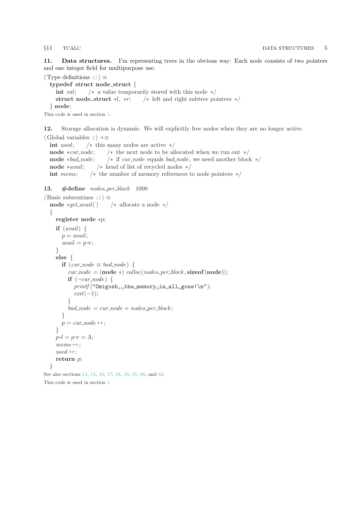<span id="page-4-0"></span>11. Data structures. I'm representing trees in the obvious way: Each node consists of two pointers and one integer field for multipurpose use.

 $\langle$  Type definitions 11  $\rangle \equiv$ typedef struct node struct { int val;  $\forall$  a value temporarily stored with this node  $\ast$ / struct node\_struct  $*l, *r;$  /\* left and right subtree pointers  $*/$ } node;

This code is used in section [1](#page-0-0).

12. Storage allocation is dynamic. We will explicitly free nodes when they are no longer active.

 $\langle$  Global variables [2](#page-2-0)  $\rangle$  +≡ int used;  $\frac{1}{*}$  this many nodes are active  $\frac{*}{*}$ node *∗cur\_node*; /\* the next node to be allocated when we run out  $*/$ node *∗bad\_node*; /\* if *cur\_node* equals *bad\_node*, we need another block \*/ node  $*avail;$  /\* head of list of recycled nodes  $*/$ int mems;  $\frac{1}{*}$  the number of memory references to node pointers \*/

### 13.  $\# \text{define nodes\_per\_block}$  1000

```
\langle Basic subroutines 13 \rangle \equivnode ∗get avail( ) /∗ allocate a node ∗/
  \sqrt{ }register node ∗p;
     if (avail) \{p = avail;avail = p\neg r;}
     else {
       if (cur\_node \equiv bad\_node) {
          cur\_node = (node * ) calloc(nodes_per_block, sizeof(node));
          if (\neg cur\_node) {
             printf("Omigosh, \text{the} \text{memory} \text{is} \text{all} \text{gone} ! \text{`n");}exit(-1);}
           bad\_node = cur\_node + nodes\_per\_block;}
       p = cur\_node + +;}
     p\neg l = p\neg r = \Lambda;mems ++:
     used +;
     return p;
  }
```
See also sections [14](#page-5-0), [15,](#page-5-0) [16](#page-5-0), [17](#page-6-0), [18,](#page-6-0) [19](#page-6-0), [55,](#page-20-0) [60,](#page-23-0) and [62.](#page-23-0) This code is used in section [1](#page-0-0).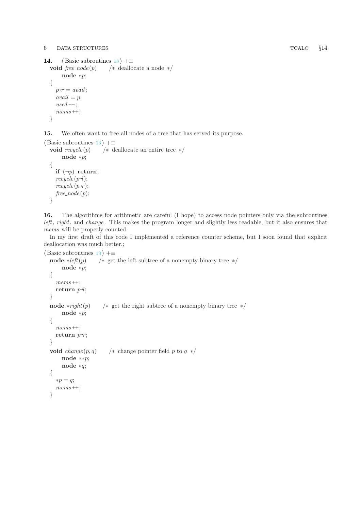### <span id="page-5-0"></span>6 DATA STRUCTURES TCALC §14

```
14. \langle13 \rangle +≡
  void free_node(p) /* deallocate a node */
      node ∗p;
  {
    p\neg r = avail;avail = p;used -;
    mems ++;
  }
```
15. We often want to free all nodes of a tree that has served its purpose.

```
\langle13 \rangle +≡
  void recycle(p) /* deallocate an entire tree */
      node ∗p;
  {
    if (\neg p) return;
    recycle(p\neg l);recycle(p\neg r);free\_node(p);}
```
16. The algorithms for arithmetic are careful (I hope) to access node pointers only via the subroutines left, right, and change. This makes the program longer and slightly less readable, but it also ensures that mems will be properly counted.

In my first draft of this code I implemented a reference counter scheme, but I soon found that explicit deallocation was much better.;

```
\langle13 \rangle +≡
 node \ast left(p) /\ast get the left subtree of a nonempty binary tree \ast/
      node ∗p;
  {
    mems ++;
    return p\neg l;}
 node ∗right(p) /∗ get the right subtree of a nonempty binary tree */node ∗p;
 {
    mems ++;
    return p\neg r;}
 void change(p, q) /* change pointer field p to q */
      node ∗∗p;
      node ∗q;
 {
    ∗p = q;
    mems ++;}
```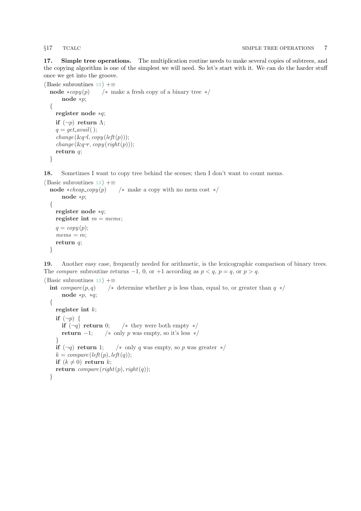<span id="page-6-0"></span>17. Simple tree operations. The multiplication routine needs to make several copies of subtrees, and the copying algorithm is one of the simplest we will need. So let's start with it. We can do the harder stuff once we get into the groove.

```
\langle13 \rangle +≡
  node *copy(p) /* make a fresh copy of a binary tree */node ∗p;
  {
    register node ∗q;
    if (\neg p) return \Lambda;
    q = get\_avail( );
     change(\&q\neg l, copy(\mathit{left}(p)));change(\&q\neg r, copy(right(p)));return q;
  }
```
18. Sometimes I want to copy tree behind the scenes; then I don't want to count mems.

```
\langle13 \rangle +≡
 node *cheap_copy(p) /* make a copy with no mem cost */
     node ∗p;
 {
   register node ∗q;
   register int m = \text{mems};
    q = copy(p);mems = m;return q;
 }
```
19. Another easy case, frequently needed for arithmetic, is the lexicographic comparison of binary trees. The *compare* subroutine returns  $-1$ , 0, or  $+1$  according as  $p < q$ ,  $p = q$ , or  $p > q$ .

```
\langle13 \rangle +≡
  int compare (p, q) /∗ determine whether p is less than, equal to, or greater than q */node ∗p, ∗q;
  {
    register int k;
    if (\neg p) {
      if (\neg q) return 0; /* they were both empty */
      return -1; /* only p was empty, so it's less */
    }
    if (\neg q) return 1; /* only q was empty, so p was greater \star/
    k = compare(left(p), left(q));if (k \neq 0) return k;
    return compare (right(p), right(q));}
```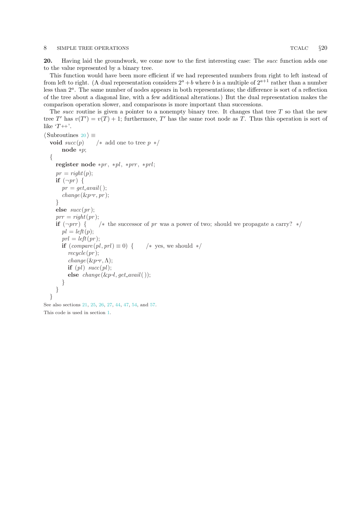### <span id="page-7-0"></span>8 SIMPLE TREE OPERATIONS TCALC  $\S 20$

20. Having laid the groundwork, we come now to the first interesting case: The *succ* function adds one to the value represented by a binary tree.

This function would have been more efficient if we had represented numbers from right to left instead of from left to right. (A dual representation considers  $2^a + b$  where b is a multiple of  $2^{a+1}$  rather than a number less than  $2<sup>a</sup>$ . The same number of nodes appears in both representations; the difference is sort of a reflection of the tree about a diagonal line, with a few additional alterations.) But the dual representation makes the comparison operation slower, and comparisons is more important than successions.

The succ routine is given a pointer to a nonempty binary tree. It changes that tree  $T$  so that the new tree T' has  $v(T') = v(T) + 1$ ; furthermore, T' has the same root node as T. Thus this operation is sort of like  $T++$ .

```
\langle Subroutines 20 \rangle \equivvoid succ(p) /* add one to tree p */
       node ∗p;
  {
    register node *pr, *pl, *prr, *prl;
    pr = right(p);if (\neg pr) {
       pr = get\_avail( );
       change(\& p\neg r, pr);}
    else succ(pr);prr = right(pr);if (\neg prr) { /* the successor of pr was a power of two; should we propagate a carry? */
       pl = left(p);prl = left(pr);if (compare (pl, prl) \equiv 0) { /* yes, we should */
         recycle(pr);change(\& p\neg r, \Lambda);if (pl) \; succ(pl);else change(\&p\neg l, get\_avail());
       }
    }
  }
```
See also sections [21](#page-8-0), [25,](#page-9-0) [26](#page-10-0), [27](#page-10-0), [44,](#page-16-0) [47](#page-16-0), [54,](#page-19-0) and [57](#page-21-0). This code is used in section [1](#page-0-0).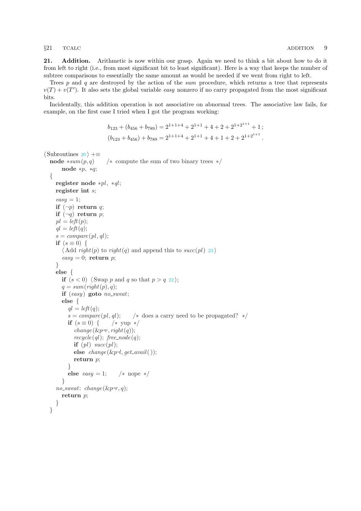<span id="page-8-0"></span>

21. Addition. Arithmetic is now within our grasp. Again we need to think a bit about how to do it from left to right (i.e., from most significant bit to least significant). Here is a way that keeps the number of subtree comparisons to essentially the same amount as would be needed if we went from right to left.

Trees  $p$  and  $q$  are destroyed by the action of the sum procedure, which returns a tree that represents  $v(T) + v(T')$ . It also sets the global variable easy nonzero if no carry propagated from the most significant bits.

Incidentally, this addition operation is not associative on abnormal trees. The associative law fails, for example, on the first case I tried when I got the program working:

```
b_{123} + (b_{456} + b_{789}) = 2^{1+1+4} + 2^{1+1} + 4 + 2 + 2^{1+2^{1+1}} + 1;(b_{123} + b_{456}) + b_{789} = 2^{1+1+4} + 2^{1+1} + 4 + 1 + 2 + 2^{1+2^{1+1}}.
```

```
\langle20 \rangle +≡
    node *sum(p, q) /* compute the sum of two binary trees */node ∗p, ∗q;
    {
        register node *pl, *ql;
        register int s;
         easy = 1;
         if (\neg p) return q;
         if (\neg q) return p;
         pl = left(p);ql = left(q);s = compare(pl,ql);if (s \equiv 0) {
             \langle Add right(p) to right(q) and append this to succ23)
             easy = 0; return p;
         }
         else {
             if (s < 0) 22} \rangle;
             q = sum(right(p), q);if (easy) goto no\_sweat;
             else {
                  ql = left(q);s = \text{compare}(pl, gl); /* does a carry need to be propagated? */
                 if (s \equiv 0) { /* yup */
                       change(\& p\neg r, right(q));recycle(ql); free-node(q);if \left( pl\right) succ\left( pl\right);
                       else change(\& p\negthinspace \negthinspace \cdot \negthinspace \cdot \negthinspace \cdot \negthinspace get \negthinspace \cdot \negthinspace \cdot \negthinspace \cdot \negthinspace \cdot \negthinspace \cdot \negthinspace get \negthinspace \cdot \negthinspace \cdot \negthinspace \cdot \negthinspace \cdot \negthinspace \cdot \negthinspace \cdot \negthinspace \cdot \negthinspace \cdot \negthinspace \cdot \negthinspace \cdot \negthinspace \cdot \negthinspace \cdot \negthinspace \cdot \negthinspace \cdot \negthinspace \cdot \negthinspace \cdot \negthinspace \cdot \negthinspace \cdot \negthinspace \cdot \negthinspace \cdot \negthinspace \cdot \negthinspace \cdot \negthinspace \cdot \negthinspace \cdot \negthinspace \return p;
                 }
                 else easy = 1; /* nope */
             }
         no\_sweat: change(\& p\neg r, q);return p;
        }
    }
```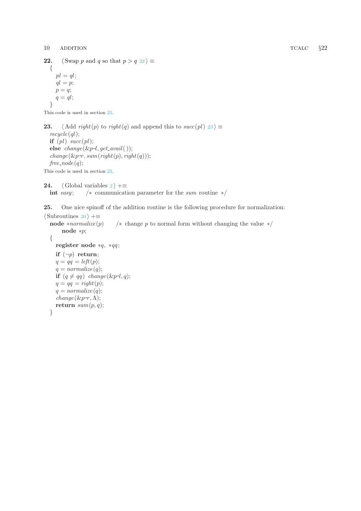```
22. \langle \text{Swap } p \text{ and } q \text{ so that } p > q \text{ } 22 \rangle \equiv{
       pl = qlql = p;p = q;q = q_l;
   }
```

```
This code is used in section 21.
```
23.  $\langle \text{Add } right(p) \text{ to } right(q) \text{ and append this to } succ(pl) \text{ 23} \rangle \equiv$  $recycle$  (ql); if  $(pl) \; succ(pl);$ else  $change(\& p\negthinspace \negthinspace \cdot \negthinspace l, get\_avail($   $));$  $change(\& p\neg r, sum(\operatorname{right}(p), \operatorname{right}(q)))$ ;  $free\_node(q);$ This code is used in section [21](#page-8-0).

[2](#page-2-0)4. (Global variables  $2 \nmid \pm \equiv$ int easy;  $\frac{1}{x}$  (\* communication parameter for the sum routine \*/

25. One nice spinoff of the addition routine is the following procedure for normalization:

```
\langle20 \rangle +≡
  node *normalize (p) /* change p to normal form without changing the value */node ∗p;
  {
     register node *q, *qq;
     if (\neg p) return;
     q = qq = left(p);q = normalize(q);if (q \neq qq) change (\& p\negthinspace\negthinspace\cdot\negthinspace l, q);q = qq = right(p);q = normalize(q);change(\& p\neg r, \Lambda);return sum(p, q);
  }
```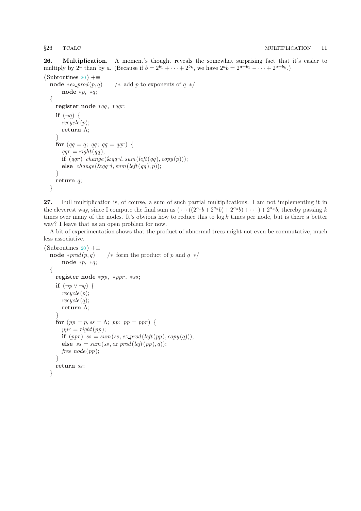<span id="page-10-0"></span>26. Multiplication. A moment's thought reveals the somewhat surprising fact that it's easier to multiply by 2<sup>*a*</sup> than by *a*. (Because if  $b = 2^{b_1} + \cdots + 2^{b_k}$ , we have  $2^{a}b = 2^{a+b_1} - \cdots + 2^{a+b_k}$ .)

```
\langle20 \rangle +≡
   node *ez-prod(p, q) /* add p to exponents of q */
         node ∗p, ∗q;
   {
      register node *qq, *qqr;
      if (\neg q) {
         recycle(p);return Λ;
      }
      for (qq = q; qq; qq = qqr) {
         qqr = right(qq);\mathbf{if} \,\left(qqr\right) \,\, change\left(\&qq\negthinspace\negthinspace l, sum\left(\mathit{left}(qq), \mathit{copy}(p)\right)\right);else change(\&qq\negthinspace-\negthinspace l, sum(\textit{left}(qq), p));}
      return q;
   }
```
27. Full multiplication is, of course, a sum of such partial multiplications. I am not implementing it in the cleverest way, since I compute the final sum as  $(\cdots((2^{a_1}b+2^{a_2}b)+2^{a_3}b)+\cdots)+2^{a_k}b$ , thereby passing k times over many of the nodes. It's obvious how to reduce this to  $log k$  times per node, but is there a better way? I leave that as an open problem for now.

A bit of experimentation shows that the product of abnormal trees might not even be commutative, much less associative.

```
\langle20 \rangle +≡
  node *prod(p,q) /* form the product of p and q */
      node ∗p, ∗q;
  {
    register node ∗pp, ∗ppr , ∗ss ;
    if (\neg p \vee \neg q) {
      recycle(p);recycle(q);return Λ;
    }
    for (pp = p, ss = \Lambda; pp; pp = ppr) {
      ppr = right(pp);if (ppr) ss = sum(ss, ez_{prod}(left(pp), copy(q));else ss = sum(ss, ez\_prod(left(pp), q));free\_node(pp);}
    return ss;
  }
```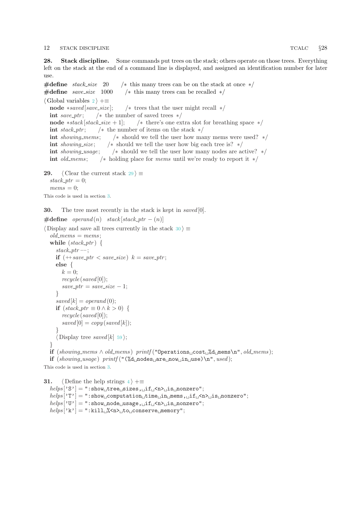<span id="page-11-0"></span>28. Stack discipline. Some commands put trees on the stack; others operate on those trees. Everything left on the stack at the end of a command line is displayed, and assigned an identification number for later use.

 $\# \text{define } stack\_size \quad 20 \qquad \text{/} * this many trees can be on the stack at once } */$  $\#$ **define** *save\_size* 1000 / $*$  this many trees can be recalled  $*$ /  $\langle$  Global variables [2](#page-2-0)  $\rangle$  +≡ node \*saved [save\_size]; /\* trees that the user might recall  $*/$ int save\_ptr;  $/*$  the number of saved trees  $*/$ node \*stack [stack\_size + 1]; /\* there's one extra slot for breathing space \*/ int stack\_ptr;  $/*$  the number of items on the stack  $*/$ int showing mems ; /∗ should we tell the user how many mems were used? ∗/ **int** showing size;  $\frac{1}{2}$   $\frac{1}{2}$  should we tell the user how big each tree is?  $\frac{1}{2}$ int showing usage;  $/*$  should we tell the user how many nodes are active?  $*/$ int *old\_mems*;  $/*$  holding place for *mems* until we're ready to report it  $*/$ 

```
29. \langle Clear the current stack 29 \rangle \equivstack\_ptr=0;
  mems = 0;
This code is used in section 3.
```
30. The tree most recently in the stack is kept in saved [0].

```
\#\text{define } operand(n) stack [stack_ptr – (n)]
```

```
\langle Display and save all trees currently in the stack 30 \rangle \equiv
```

```
old\_members = mens;while (state\_ptr) {
  stack\_ptr -;
  if (+\text{save\_ptr} < \text{save\_size}) k = \text{save\_ptr};
  else {
     k=0;recycle (saved [0]);
     save\_ptr = save\_size - 1;}
  saved[k] = operand(0);if (state\_ptr \equiv 0 \wedge k > 0) {
     recycle(saved[0]);saved[0] = copy(saved[k]);}
   \langle59 ;
}
if (showing\_\_\&\ \lozenge\ mems \lozenge\ printf ("Operations cost %d mems\n", old mems);
if (showing\_usage) printf ("(\Diamond d_1 \space nodes_1 \space are_1 \space now_1 \space in_1 \space use) \space n", used);
```
This code is used in section [3](#page-2-0).

```
31. \langle4 \rangle +≡
 helps['S'] = ":show_1tree_1 sizes, _1if_1 < n>is_1 nonzero";
```

```
helps['T'] = ":show\textsubscript{U}computation\textsubscript{U}time\textsubscript{U}in \textsubscript{V}mems, \textsubscript{U}if \textsubscript{V}\textsubscript{V}is \textsubscript{V}nonzero";
```
 $helps['U'] = ":show\_node \_usage, \_if \_x \_j is \_nonzero";$  $\text{h}elps['k'] = ":\text{kill} \ll \text{a} > \text{to}$  conserve memory";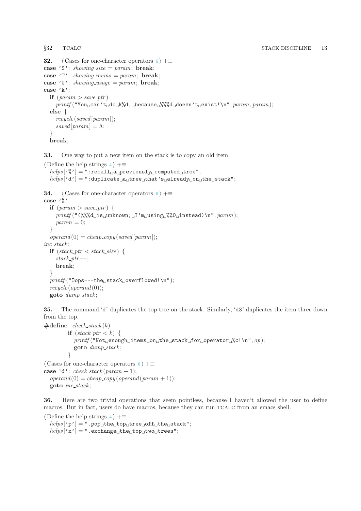```
32. \langle6 \rangle +\equivcase 'S': showing_size = param; break;
case 'T': showing_mems = param; break;
case 'U': showing_usage = param; break;
case 'k':
  if \text{if} (param \text{[} save_ptr)
     printf("You<sub>u</sub>can't<sub>u</sub>do<sub>u</sub>k%d, <sub>u</sub>because<sub>u</sub>}/%%d, doesn't<sub>u</sub>exist!\n\mathbf{n", }param, param);else {
     recycle (saved [param]);
     saved [param] = \Lambda;}
  break;
```
33. One way to put a new item on the stack is to copy an old item.

```
\langle4 \rangle +≡
  helps['%'] = "recall_!a_!previously_!{\text{computed}_!}tree";helps['d'] = ": duplicate_{[a_i]}tree_{[i]}that's_{[i]}aready_{[i]}one_{[i]}the_{[i]}stack";34. \langle6 \rangle +≡
case \sqrt[3]{ :
  if \text{(}param > save\_ptr\text{)}\text{ }printf("(\%%\&\text{d}_\text{u}is_\text{u}nhnow; \text{u}i_\text{u}using \text{u}%\&\text{u}insteady,\text{p}aram);param = 0;}
  \text{operator}(0) = \text{cheap\_copy}(\text{saved}[\text{param}]);inc\_stack:
  if (state\_ptr < stack\_size) {
     stack\_ptr+;
     break;
  }
  printf ("Oops---the<sub>□</sub>stack<sub>□</sub>overflowed!\n");
  recycle(openand(0));goto dump\_stack;
```
35. The command 'd' duplicates the top tree on the stack. Similarly, 'd3' duplicates the item three down from the top.

```
\#define check_stack(k)
            if (\text{stack\_ptr} < k) {
               printf("Not<sub>u</sub>enough<sub>u</sub>items<sub>u</sub>on<sub>u</sub>the<sub>u</sub>stack<sub>u</sub>for<sub>u</sub>operator<sub>u</sub>%c!\n<sup>n</sup>, op);goto dump stack ;
            }
\langle6 \rangle +\equivcase 'd': check\_stack(param + 1);\text{operatord}(0) = \text{cheap\_copy}(\text{operatord}(param + 1));
```
goto  $inc\_stack;$ 

36. Here are two trivial operations that seem pointless, because I haven't allowed the user to define macros. But in fact, users do have macros, because they can run TCALC from an emacs shell.

```
\langle4 \rangle +≡
   helps['p'] = ".pop_{\sqcup}the_{\sqcup}top_{\sqcup}tree_{\sqcup}off_{\sqcup}the_{\sqcup}stack";helps['x'] = "exchange<sub>1</sub>the<sub>1</sub>top<sub>1</sub>two<sub>1</sub>trees";
```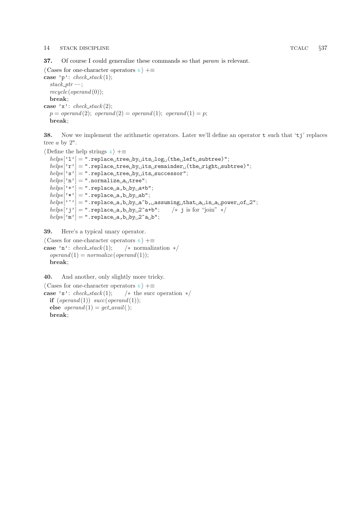### <span id="page-13-0"></span>14 STACK DISCIPLINE TCALC  $\S37$

37. Of course I could generalize these commands so that param is relevant.

 $\langle$  Cases for one-character operators [6](#page-3-0)  $\rangle$  + $\equiv$ case 'p':  $check\_stack(1)$ ;  $stack\_ptr -$ ;  $recycle(overall(0));$ break; case 'x':  $check\_stack(2)$ ;  $p = operand(2); operand(2) = operand(1); operand(1) = p;$ break;

38. Now we implement the arithmetic operators. Later we'll define an operator t such that 'tj' replaces tree  $a$  by  $2^a$ .

```
\langle4 \rangle +=
```

```
helps ['l'] = ".replace tree by its log (the left subtree)";
\text{helps} [\lvert r \rvert] = "\text{replace}_\sqcup \text{tree}_\sqcup \text{by}_\sqcup \text{its}_\sqcup \text{remainder}_\sqcup (\text{the}_\sqcup \text{right}_\sqcup \text{subtree})";
helps['s'] = "replace<sub>1</sub>tree<sub>1</sub>by<sub>1</sub>its<sub>1</sub>successor";helps['n'] = ".normalize<sub>u</sub> a<sub>u</sub>tree"helps['+'] = "replace_{\sqcup}a, b_{\sqcup}by_{\sqcup}a+b";\mathit{helps}[\tt' *'] = \texttt{''}.replace\_a, b\_by\_ab";\text{helps } [\cdot \cdot] = ".replace a, b by a<sup>b</sup>, assuming that a is a power of 2";
helps['j'] = "replace_{\text{u}}{a, b_{\text{u}}by_{\text{u}}2a+b"; /* j is for "join" */
helps['m'] = "replace_{\sqcup}a, b_{\sqcup}by_{\sqcup}2^a a_{\sqcup}b";
```
39. Here's a typical unary operator.

```
\langle6 \rangle +≡
case 'n': check\_stack(1); /* normalization */
  \text{vperand}(1) = \text{normalize}(\text{vperand}(1));break;
```
40. And another, only slightly more tricky.

```
\langle6 \rangle +\equivcase 's': check\_stack(1); /* the succ operation */
  if (openad(1)) succ(openad(1));else \text{vperand}(1) = \text{get}\_\text{avail}();
  break;
```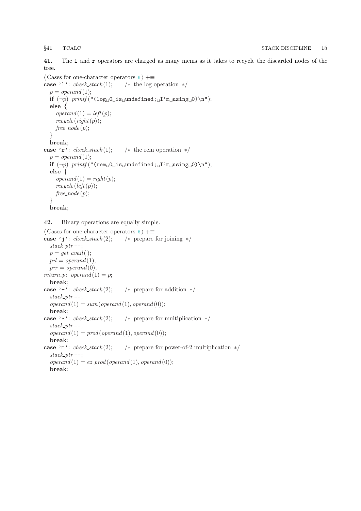<span id="page-14-0"></span>41. The l and r operators are charged as many mems as it takes to recycle the discarded nodes of the tree.

```
\langle6 \rangle +\equivcase 'l': check\_stack(1); /* the log operation */
  p = operand(1);if (¬p) printf ("(log 0 is undefined; I'm using 0)\n");
  else {
     \text{operatord}(1) = \text{left}(p);recycle(right(p));free\_node(p);}
  break;
case 'r': check\_stack(1); /* the rem operation */
  p = operand(1);
  if (\neg p) printf ("(rem<sub>\sqcup</sub>O\sqcupis\sqcupundefined;\sqcupI'm\sqcupusing\sqcupO)\n");
  else {
     \text{operatord}(1) = \text{right}(p);recycle(left(p));free\_node(p);}
  break;
```
42. Binary operations are equally simple.

```
\langle6 \rangle +\equivcase 'j': check\_stack(2); /* prepare for joining */
  stack\_ptr -;
  p = get\_avail( );
   p\neg l = operand(1);p\neg r = operand(0);return_p: operand (1) = p;
  break;
case '+': check\_stack(2): /* prepare for addition */
  stack\_ptr -;
  \text{operatord}(1) = \text{sum}(\text{operatord}(1), \text{operatord}(0));break;
case '*': check\_stack(2); /* prepare for multiplication */
  stack\_ptr -;
  \text{operatord}(1) = \text{prod}(\text{operatord}(1), \text{operatord}(0));break;
case 'm': check\_stack(2); /* prepare for power-of-2 multiplication */
  stack\_ptr -;
  \text{vperand} (1) = \text{ez\_prod}(\text{vperand}(1), \text{vperand}(0));break;
```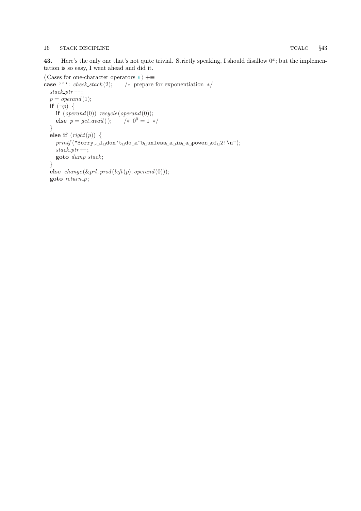### <span id="page-15-0"></span>16 STACK DISCIPLINE TCALC  $\S43$

43. Here's the only one that's not quite trivial. Strictly speaking, I should disallow  $0^x$ ; but the implementation is so easy, I went ahead and did it.

```
\langle6 \rangle +≡<br>case '^': check_stack (2); /* prepare
                                       /* prepare for exponentiation */stack\_ptr -;
   p = operand(1);if (\neg p) {
      \mathbf{if} \; (openand(0)) \; recycle (openand(0));else p = get\_avail(); /* 0^0 = 1 */
   }
   else if (right(p)) {
      \it {print} f("Sarry, \verb|_l\_Id \verb| on't_ \verb|_d \verb|o_ \verb|_a^ \verb|`b_ \verb|] unless \verb|_a_ \verb|_a_ \verb|_p \verb|over|_0 f_ \verb|_2! \verb|`n");stack\_ptr +;goto dump\_stack;}
   else change(\&p\negthinspace\negthinspace\cdot l, prod(left(p), operand(0))),goto return_p;
```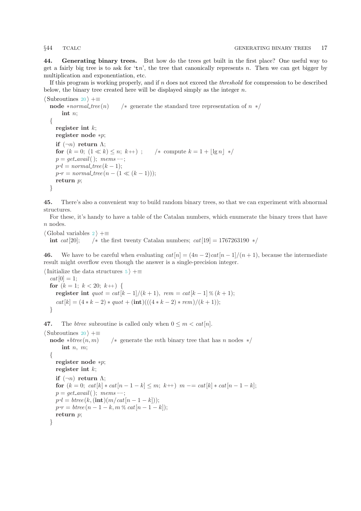<span id="page-16-0"></span>

44. Generating binary trees. But how do the trees get built in the first place? One useful way to get a fairly big tree is to ask for 'tn', the tree that canonically represents n. Then we can get bigger by multiplication and exponentiation, etc.

If this program is working properly, and if  $n$  does not exceed the *threshold* for compression to be described below, the binary tree created here will be displayed simply as the integer  $n$ .

```
\langle20 \rangle +≡
  node ∗normal_tree (n) \qquad * generate the standard tree representation of n */
      int n;
  \{register int k;
    register node ∗p;
    if (\neg n) return \Lambda;
    for (k = 0; (1 \ll k) \leq n; k++); /* compute k = 1 + |\lg n| */
    p = qet\_avail( ); mems --;
    p\neg l = normal\_tree(k-1);p\neg r = normal\_tree(n - (1 \ll (k-1)));return v:
  }
```
45. There's also a convenient way to build random binary trees, so that we can experiment with abnormal structures.

For these, it's handy to have a table of the Catalan numbers, which enumerate the binary trees that have n nodes.

```
\langle2 \rangle +≡
```
int cat[20]; /\* the first twenty Catalan numbers; cat[19] = 1767263190 \*/

46. We have to be careful when evaluating  $cat[n] = (4n-2)cat[n-1]/(n+1)$ , because the intermediate result might overflow even though the answer is a single-precision integer.

```
\{5\rangle +≡
 cat[0] = 1;for (k = 1; k < 20; k++) {
   register int quot = cat[k-1]/(k+1), rem = cat[k-1] \times (k+1);cat[k] = (4*k - 2) * quot + (int)((4*k - 2) * rem)/(k+1));}
```
47. The *btree* subroutine is called only when  $0 \leq m < \text{cat}[n]$ .

```
\langle20 \rangle +≡
  node *btree (n, m) /* generate the mth binary tree that has n nodes */
       int n, m;
  {
    register node ∗p;
    register int k;
    if (\neg n) return \Lambda;
    for (k = 0; cat[k] * cat[n-1-k] \leq m; k++) m == cat[k] * cat[n-1-k];p = get\_avail(; mems --;
     p\neg l = \text{btree}(k, (\text{int})(m/\text{cat}[n-1-k]));
     p\neg r = \text{three} (n - 1 - k, m \times \text{cat} [n - 1 - k]);return p;
  }
```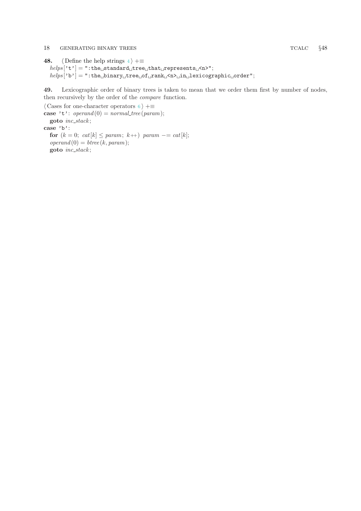### <span id="page-17-0"></span>18 GENERATING BINARY TREES TCALC  $\S$ 48

```
48. \langle Define the help strings 4 \rangle +=
    \mathit{helps}['t'] = ": \texttt{the}_{\sqcup} \texttt{standard}_{\sqcup} \texttt{tree}_{\sqcup} \texttt{that}_{\sqcup} \texttt{represents}_{\sqcup} \texttt{<} \texttt{n>}";\mathit{helps}[\verb|`b'] = \verb|":the_\sqcup binary_\sqcup tree_\sqcup of_\sqcup rank_\sqcup \verb|`n>_\sqcup in_\sqcup lexicographic_\sqcup order";
```
49. Lexicographic order of binary trees is taken to mean that we order them first by number of nodes, then recursively by the order of the compare function.

 $\langle$  Cases for one-character operators [6](#page-3-0)  $\rangle$  + $\equiv$ case 't':  $\text{vperand}(0) = \text{normal-tree}(\text{param});$ goto inc\_stack; case 'b': for  $(k = 0; cat[k] \leq param; k++)$  param  $- = cat[k];$  $\text{operatord}(0) = \text{btree}(k, \text{param});$ goto inc\_stack;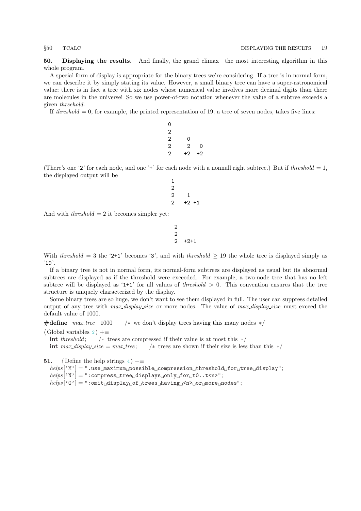<span id="page-18-0"></span>50. Displaying the results. And finally, the grand climax—the most interesting algorithm in this whole program.

A special form of display is appropriate for the binary trees we're considering. If a tree is in normal form, we can describe it by simply stating its value. However, a small binary tree can have a super-astronomical value; there is in fact a tree with six nodes whose numerical value involves more decimal digits than there are molecules in the universe! So we use power-of-two notation whenever the value of a subtree exceeds a given *thrsehold*.

If threshold  $= 0$ , for example, the printed representation of 19, a tree of seven nodes, takes five lines:

| 0 |                |      |
|---|----------------|------|
| 2 |                |      |
| 2 | 0              |      |
| 2 | $\overline{2}$ | 0    |
| 2 | $+2$           | $+2$ |

(There's one '2' for each node, and one '+' for each node with a nonnull right subtree.) But if threshold = 1, the displayed output will be

1

$$
\begin{array}{c}\n2 \\
2 \\
2 \\
+2 \\
+1\n\end{array}
$$

And with *threshold*  $= 2$  it becomes simpler yet:

$$
\begin{array}{c}\n2 \\
2 \\
2 \\
+2+1\n\end{array}
$$

With threshold = 3 the '2+1' becomes '3', and with threshold  $\geq$  19 the whole tree is displayed simply as '19'.

If a binary tree is not in normal form, its normal-form subtrees are displayed as usual but its abnormal subtrees are displayed as if the threshold were exceeded. For example, a two-node tree that has no left subtree will be displayed as '1+1' for all values of *threshold*  $> 0$ . This convention ensures that the tree structure is uniquely characterized by the display.

Some binary trees are so huge, we don't want to see them displayed in full. The user can suppress detailed output of any tree with  $max\_display\_size$  or more nodes. The value of  $max\_display\_size$  must exceed the default value of 1000.

#define max\_tree 1000 /\* we don't display trees having this many nodes  $*/$ 

 $\langle$  Global variables [2](#page-2-0)  $\rangle$  +≡

int threshold;  $\frac{1}{\ast}$  trees are compressed if their value is at most this  $\frac{1}{\ast}$ int  $max\_display\_size = max\_tree;$  /\* trees are shown if their size is less than this \*/

**51.**  $\langle$  Define the help strings [4](#page-2-0)  $\rangle$  +=

 $helps [M'] = "use<sub>U</sub> maximum<sub>U</sub> possible<sub>U</sub> compression<sub>U</sub> threshold<sub>U</sub> for<sub>U</sub> tree<sub>U</sub> display";$  $helps [`N'] = ":compress_1tree_1display_{10}nly_1for_1t0..t"$ ;  $helps [`0''] = ":omit_U display_{U} of_U trees_U having_U  $\rho_{U}$ or more nodes";$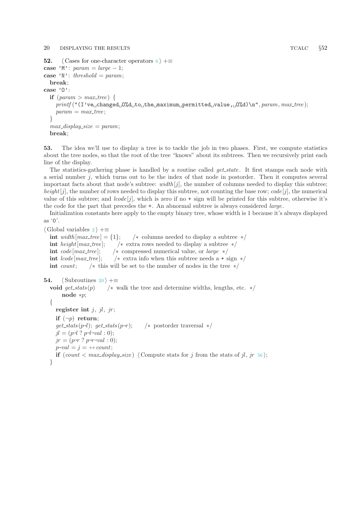### <span id="page-19-0"></span>20 DISPLAYING THE RESULTS TCALC  $\S52$

```
52. \langle6 \rangle +≡
case 'M': param = large - 1;case 'N': threshold = param;
      break;
case 'O':
      if {\text{if}} \; {\text{if}} \; {\text{if}} \; {\text{if}} \; {\text{if}} \; {\text{if}} \; {\text{if}} \; {\text{if}} \; {\text{if}} \; {\text{if}} \; {\text{if}} \; {\text{if}} \; {\text{if}} \; {\text{if}} \; {\text{if}} \; {\text{if}} \; {\text{if}} \; {\text{if}} \; {\text{if}} \; {\text{if}} \; {\text{if}} \; {\text{if}} \; {\text{if}} \; {\text{if}} \; {\text{if}} \; {\text{if}} \; {\text{if}} \; {\text{if}} \; {\text{if}} \; {\text{if}} \; {\text{if}} \;print([T:\texttt{v}e \cup \texttt{changed} \cup \texttt{0}\texttt{Id} \cup \texttt{to} \cup \texttt{the} \cup \texttt{maximum} \cup \texttt{permitted} \cup \texttt{value}, \cup \texttt{0}\texttt{Id})\setminus \texttt{n", \textit{param}, \textit{max-tree}});param = max\_tree;}
      max\_display\_size = param;break;
```
53. The idea we'll use to display a tree is to tackle the job in two phases. First, we compute statistics about the tree nodes, so that the root of the tree "knows" about its subtrees. Then we recursively print each line of the display.

The statistics-gathering phase is handled by a routine called  $qet\_state$ . It first stamps each node with a serial number  $i$ , which turns out to be the index of that node in postorder. Then it computes several important facts about that node's subtree:  $width[j]$ , the number of columns needed to display this subtree; height [j], the number of rows needed to display this subtree, not counting the base row;  $code[j]$ , the numerical value of this subtree; and  $\textit{lcode}[j]$ , which is zero if no + sign will be printed for this subtree, otherwise it's the code for the part that precedes the  $\pm$ . An abnormal subtree is always considered *large*.

Initialization constants here apply to the empty binary tree, whose width is 1 because it's always displayed as '0'.

 $\langle$  Global variables [2](#page-2-0)  $\rangle$  +≡ int width  $\lfloor max\_tree \rfloor = \{1\}; \quad \neq$  columns needed to display a subtree  $\neq$ int height[max\_tree]; /\* extra rows needed to display a subtree  $*/$ int code  $[\text{max\_tree}]$ ; /\* compressed numerical value, or large \*/ int  $lcode(max\_tree]$ ; /\* extra info when this subtree needs a + sign \*/ int count;  $\frac{1}{\pm}$  this will be set to the number of nodes in the tree  $\frac{1}{\pm}$ 

```
54. \langle20 \rangle +≡
  void get_stats (p) \rightarrow walk the tree and determine widths, lengths, etc. */
       node ∗p;
  {
    register int i, il, ir;if (\neg p) return;
     get\_stats(p\neg l); get\_stats(p\negr); /∗ postorder traversal ∗/
     jl = (p\neg l ? p\neg l\neg val : 0);jr = (p\neg r ? p\neg r\neg val: 0);p\neg val = j = +count;if \text{count} < \text{max\_display\_size} 56} \rangle;}
```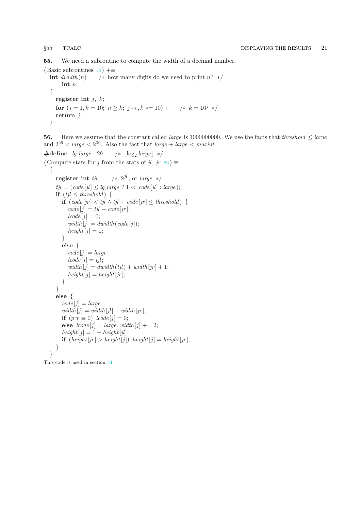<span id="page-20-0"></span>55. We need a subroutine to compute the width of a decimal number.

 $\langle$  Basic subroutines [13](#page-4-0)  $\rangle$  +≡<br>int *dwidth*(*n*)  $\langle$  \* how  $\frac{1}{x}$  how many digits do we need to print n? ∗/ int n; { register int  $j, k;$ for  $(j = 1, k = 10; n \ge k; j + k = 10)$ ;  $/* k = 10<sup>j</sup>$  \*/ return  $j$ ; }

56. Here we assume that the constant called *large* is 1000000000. We use the facts that *threshold*  $\leq$  *large* and  $2^{29} <$  large  $< 2^{30}$ . Also the fact that large  $+$  large  $<$  maxint.

```
\#define lg_large 29
                             /* \log_2 \text{large} */
\langle Compute stats for j from the stats of jl, jr 56\rangle \equiv{
    register int tjl;
                         /* 2^{jl}, or large */
     tjl = (code[i] \leq lg\_large ? 1 \ll code[jl] : large);if (tjl \leq threshold) {
       if (code[jr] < tjl \wedge tjl + code[jr] \leq threshold) {
          code[j] = tjl + code[jr];lcode[i]=0;width[j] = dwidth(code[j]);height[j] = 0;}
       else {
          code[j] = large;lcode[j]=tjl;width[j] = dwidth(tjl) + width(jr] + 1;height[i] = height[<i>ir</i>];}
    }
     else {
       code[j] = large;width[j] = width[j] + width[jr];if (p\neg r \equiv 0) lcode[j]=0;else lcode[j] = large, width[j] += 2;height[j] = 1 + height[j];if (height[jr] > height[j]) height[j] = height[jr];
    }
  }
```
This code is used in section [54](#page-19-0).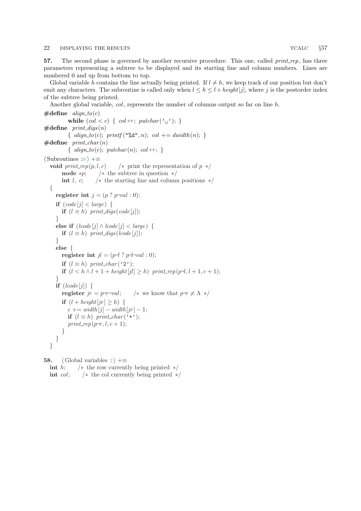<span id="page-21-0"></span>57. The second phase is governed by another recursive procedure. This one, called  $print\_rep$ , has three parameters representing a subtree to be displayed and its starting line and column numbers. Lines are numbered 0 and up from bottom to top.

Global variable h contains the line actually being printed. If  $l \neq h$ , we keep track of our position but don't emit any characters. The subroutine is called only when  $l \leq h \leq l + height[j]$ , where j is the postorder index of the subtree being printed.

Another global variable,  $col$ , represents the number of columns output so far on line h.

```
\#define align_to(c)
          while (col < c) \{ col + ; \; putchar(<math>' \sqcup'</math>) ; \}\#define print\_digs(n)\{align_to(c); print(f("%d", n); col += dwidth(n); \}\#define print_char(n)
          { align_to(c); putchar(n); col++; }
\langle20 \rangle +≡
  void print_rep(p, l, c) \qquad /* print the representation of p */
       node *p; /* the subtree in question */
       int l, c; \frac{1}{\pm} the starting line and column positions \frac{1}{\pm}{
     register int j = (p ? p \neg val : 0);if (code[i] < large) {
       if (l \equiv h) print_digs(code[j]);
     }
     else if (lcode[j] \wedge lcode[j] < large) {
       if (l \equiv h) print_digs (lcode[j]);
     }
     else {
        register int jl = (p \neg l \neg p \neg l \neg val : 0);if (l \equiv h) print_char('2');
        if (l < h \land l + 1 + height[j]) \geq h) print_rep(p-l, l + 1, c + 1);
     }
     if (lcode[j]) {
        register jr = p\neg rval; /* we know that p\neg r \neq \Lambda \ast/
       if (l + height[jr] \geq h) {
          c += width[i] - width[ir] - 1;if (l \equiv h) print_char('+');
          print\_rep(p\neg r, l, c+1);}
     }
  }
```
58. (Global variables  $2 \nleftrightarrow =$  $2 \nleftrightarrow =$ int h;  $/*$  the row currently being printed  $*/$ int *col*;  $/*$  the col currently being printed  $*/$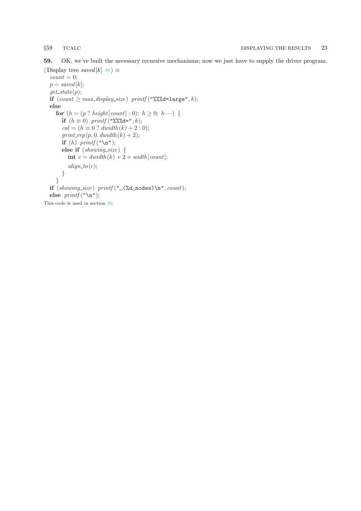<span id="page-22-0"></span>

59. OK, we've built the necessary recursive mechanisms; now we just have to supply the driver program.

```
\langle Display tree saved [k] 59 \rangle \equivcount = 0;p = saved[k];get\_stats(p);if (count \geq max\_display\_size) printf ("%%d = large", k);else
     for (h = (p ? height[count] : 0); h \ge 0; h--) {
       if (h \equiv 0) printf ("%%%d=", k);
       col = (h \equiv 0 ? dwidth(k) + 2 : 0);print\_rep(p, 0, \text{dwidth}(k) + 2);if (h) printf ("n");
       else if (showing_size) {
          int c = \frac{dw}{dt} (k) + 2 + width [count];
          align\_to(c);}
     }
  if (showing\_size) printf ("_0(\lambda d \text{nodes}) \n\pi", count);else printf("n");
This code is used in section 30.
```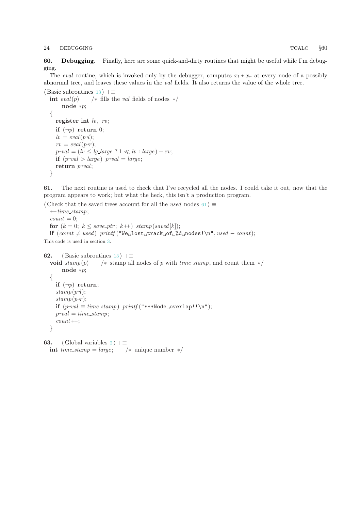### <span id="page-23-0"></span>24 DEBUGGING TCALC §60

60. Debugging. Finally, here are some quick-and-dirty routines that might be useful while I'm debugging.

The eval routine, which is invoked only by the debugger, computes  $x_l \star x_r$  at every node of a possibly abnormal tree, and leaves these values in the val fields. It also returns the value of the whole tree.

```
\langle13 \rangle +≡
  int eval(p) /* fills the val fields of nodes */
       node ∗p;
  {
    register int \{w, rv\};
    if (\neg p) return 0;
     lv = eval(p\neg l);rv = eval(p\neg r);p\neg val = (lv \leq lg\_large ? 1 \ll lv : large) + rv;if (p\text{-}val > large) p\text{-}val = large;return p-val;
  }
```
61. The next routine is used to check that I've recycled all the nodes. I could take it out, now that the program appears to work; but what the heck, this isn't a production program.

 $\langle$  Check that the saved trees account for all the used nodes 61  $\rangle \equiv$ 

 $+time\_stamp;$  $count = 0$ ; for  $(k = 0; k \leq save\_ptr; k++)$  stamp(saved[k]);  $\text{if } (count \neq used) \text{ printf ("We\_lost\_track\_of\_%d\_nodes!}\text{', } used - count);$ This code is used in section [3](#page-2-0).

```
62. \langle13 \rangle +≡
  void stamp(p) /∗ stamp all nodes of p with time_stamp, and count them */node ∗p;
  {
     if (\neg p) return;
     stamp(p\neg l);stamp(p\neg r);\textbf{if}~(p\text{-}val \equiv time\_stamp)~printf("***Node \text{__overlap!!}\backslash \texttt{n}");p\neg val = time\_stamp;count ++;
  }
```

```
63. (Global variables 2 \n\rightarrow \pm \equivint time\_stamp = large; /* unique number */
```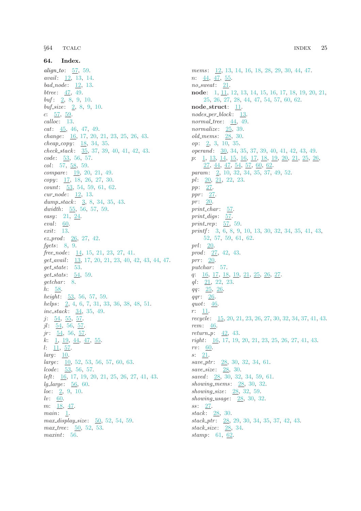<span id="page-24-0"></span>64. Index. alian<sub>to</sub>: [57,](#page-21-0) [59.](#page-22-0) *avail*: [12,](#page-4-0) [13](#page-4-0), [14](#page-5-0). bad\_node:  $\overline{12}$ , [13.](#page-4-0) *btree*:  $47, 49.$  $47, 49.$  $47, 49.$  $47, 49.$  $buf: 2, 8, 9, 10.$  $buf: 2, 8, 9, 10.$  $buf: 2, 8, 9, 10.$  $buf: 2, 8, 9, 10.$  $buf: 2, 8, 9, 10.$  $buf: 2, 8, 9, 10.$  $buf: 2, 8, 9, 10.$  $buf: 2, 8, 9, 10.$  $buf: 2, 8, 9, 10.$  $buf\_size: 2, 8, 9, 10.$  $buf\_size: 2, 8, 9, 10.$  $buf\_size: 2, 8, 9, 10.$  $buf\_size: 2, 8, 9, 10.$  $buf\_size: 2, 8, 9, 10.$  $buf\_size: 2, 8, 9, 10.$  $buf\_size: 2, 8, 9, 10.$  $buf\_size: 2, 8, 9, 10.$ c:  $57, 59$  $57, 59$  $57, 59$ . calloc: [13.](#page-4-0)  $cat: 45, 46, 47, 49.$  $cat: 45, 46, 47, 49.$  $cat: 45, 46, 47, 49.$  $cat: 45, 46, 47, 49.$  $cat: 45, 46, 47, 49.$  $cat: 45, 46, 47, 49.$  $cat: 45, 46, 47, 49.$  $cat: 45, 46, 47, 49.$ change: [16](#page-5-0), [17](#page-6-0), [20,](#page-7-0) [21,](#page-8-0) [23](#page-9-0), [25](#page-9-0), [26,](#page-10-0) [43](#page-15-0).  $cheap\_copy: \underline{18}, 34, 35.$  $cheap\_copy: \underline{18}, 34, 35.$  $cheap\_copy: \underline{18}, 34, 35.$  $cheap\_copy: \underline{18}, 34, 35.$  $check\_stack: 35, 37, 39, 40, 41, 42, 43.$  $check\_stack: 35, 37, 39, 40, 41, 42, 43.$  $check\_stack: 35, 37, 39, 40, 41, 42, 43.$  $check\_stack: 35, 37, 39, 40, 41, 42, 43.$  $check\_stack: 35, 37, 39, 40, 41, 42, 43.$  $check\_stack: 35, 37, 39, 40, 41, 42, 43.$  $check\_stack: 35, 37, 39, 40, 41, 42, 43.$  $check\_stack: 35, 37, 39, 40, 41, 42, 43.$  $check\_stack: 35, 37, 39, 40, 41, 42, 43.$  $check\_stack: 35, 37, 39, 40, 41, 42, 43.$  $check\_stack: 35, 37, 39, 40, 41, 42, 43.$  $check\_stack: 35, 37, 39, 40, 41, 42, 43.$  $check\_stack: 35, 37, 39, 40, 41, 42, 43.$  $check\_stack: 35, 37, 39, 40, 41, 42, 43.$ code: [53](#page-19-0), [56](#page-20-0), [57](#page-21-0).  $col: 57, 58, 59.$  $col: 57, 58, 59.$  $col: 57, 58, 59.$  $col: 57, 58, 59.$  $col: 57, 58, 59.$  $col: 57, 58, 59.$  $compare: \underline{19}, 20, 21, 49.$  $compare: \underline{19}, 20, 21, 49.$  $compare: \underline{19}, 20, 21, 49.$  $compare: \underline{19}, 20, 21, 49.$  $compare: \underline{19}, 20, 21, 49.$  $compare: \underline{19}, 20, 21, 49.$  $compare: \underline{19}, 20, 21, 49.$  $compare: \underline{19}, 20, 21, 49.$  $copy: \underline{17}, 18, 26, 27, 30.$  $copy: \underline{17}, 18, 26, 27, 30.$  $copy: \underline{17}, 18, 26, 27, 30.$  $copy: \underline{17}, 18, 26, 27, 30.$  $copy: \underline{17}, 18, 26, 27, 30.$  $copy: \underline{17}, 18, 26, 27, 30.$  $copy: \underline{17}, 18, 26, 27, 30.$  $copy: \underline{17}, 18, 26, 27, 30.$  $copy: \underline{17}, 18, 26, 27, 30.$  $copy: \underline{17}, 18, 26, 27, 30.$  $copy: \underline{17}, 18, 26, 27, 30.$  $count: 53, 54, 59, 61, 62.$  $count: 53, 54, 59, 61, 62.$  $count: 53, 54, 59, 61, 62.$  $count: 53, 54, 59, 61, 62.$  $count: 53, 54, 59, 61, 62.$  $count: 53, 54, 59, 61, 62.$  $count: 53, 54, 59, 61, 62.$  $count: 53, 54, 59, 61, 62.$  $count: 53, 54, 59, 61, 62.$  $count: 53, 54, 59, 61, 62.$  $count: 53, 54, 59, 61, 62.$  $cur\_node: \underline{12}, 13.$  $cur\_node: \underline{12}, 13.$ dump\_stack:  $\frac{3}{2}$  $\frac{3}{2}$  $\frac{3}{2}$ , [8,](#page-3-0) [34,](#page-12-0) [35,](#page-12-0) [43](#page-15-0). dwidth:  $55, 56, 57, 59$  $55, 56, 57, 59$  $55, 56, 57, 59$  $55, 56, 57, 59$  $55, 56, 57, 59$  $55, 56, 57, 59$ . easy: [21](#page-8-0), [24](#page-9-0). eval: [60](#page-23-0). exit: [13.](#page-4-0)  $ez$ -prod:  $26, 27, 42.$  $26, 27, 42.$  $26, 27, 42.$  $26, 27, 42.$  $26, 27, 42.$ fgets:  $8, 9$  $8, 9$ .  $free-node: \underline{14}$ , [15,](#page-5-0) [21,](#page-8-0) [23,](#page-9-0) [27,](#page-10-0) [41.](#page-14-0)  $get_ avail: 13, 17, 20, 21, 23, 40, 42, 43, 44, 47.$  $get_ avail: 13, 17, 20, 21, 23, 40, 42, 43, 44, 47.$  $get_ avail: 13, 17, 20, 21, 23, 40, 42, 43, 44, 47.$  $get_ avail: 13, 17, 20, 21, 23, 40, 42, 43, 44, 47.$  $get_ avail: 13, 17, 20, 21, 23, 40, 42, 43, 44, 47.$  $get_ avail: 13, 17, 20, 21, 23, 40, 42, 43, 44, 47.$  $get_ avail: 13, 17, 20, 21, 23, 40, 42, 43, 44, 47.$  $get_ avail: 13, 17, 20, 21, 23, 40, 42, 43, 44, 47.$  $get_ avail: 13, 17, 20, 21, 23, 40, 42, 43, 44, 47.$  $get_ avail: 13, 17, 20, 21, 23, 40, 42, 43, 44, 47.$  $get_ avail: 13, 17, 20, 21, 23, 40, 42, 43, 44, 47.$  $get_ avail: 13, 17, 20, 21, 23, 40, 42, 43, 44, 47.$  $get_ avail: 13, 17, 20, 21, 23, 40, 42, 43, 44, 47.$  $get_ avail: 13, 17, 20, 21, 23, 40, 42, 43, 44, 47.$  $get_ avail: 13, 17, 20, 21, 23, 40, 42, 43, 44, 47.$  $get_ avail: 13, 17, 20, 21, 23, 40, 42, 43, 44, 47.$  $get_ avail: 13, 17, 20, 21, 23, 40, 42, 43, 44, 47.$  $get_ avail: 13, 17, 20, 21, 23, 40, 42, 43, 44, 47.$  $get_ avail: 13, 17, 20, 21, 23, 40, 42, 43, 44, 47.$  $get_ avail: 13, 17, 20, 21, 23, 40, 42, 43, 44, 47.$  $get\_state: 53.$  $get\_state: 53.$  $get\_state: 53.$ get\_stats:  $\underline{54}$  $\underline{54}$  $\underline{54}$ , [59.](#page-22-0) getchar: [8.](#page-3-0) h: [58](#page-21-0). height: [53,](#page-19-0) [56](#page-20-0), [57](#page-21-0), [59.](#page-22-0) helps: [2](#page-2-0), [4](#page-2-0), [6,](#page-3-0) [7](#page-3-0), [31](#page-11-0), [33,](#page-12-0) [36](#page-12-0), [38](#page-13-0), [48,](#page-17-0) [51](#page-18-0).  $inc\_stack: 34, 35, 49.$  $inc\_stack: 34, 35, 49.$  $inc\_stack: 34, 35, 49.$  $inc\_stack: 34, 35, 49.$  $inc\_stack: 34, 35, 49.$  $inc\_stack: 34, 35, 49.$  $inc\_stack: 34, 35, 49.$  $j: \underline{54}, \underline{55}, \underline{57}.$  $j: \underline{54}, \underline{55}, \underline{57}.$  $j: \underline{54}, \underline{55}, \underline{57}.$  $j: \underline{54}, \underline{55}, \underline{57}.$  $j: \underline{54}, \underline{55}, \underline{57}.$  $jl: \underline{54}$ , [56,](#page-20-0) <u>57</u>.  $jr: 54, 56, 57.$  $jr: 54, 56, 57.$  $jr: 54, 56, 57.$  $jr: 54, 56, 57.$  $jr: 54, 56, 57.$  $jr: 54, 56, 57.$  $k: \underline{1}, \underline{19}, \underline{44}, \underline{47}, \underline{55}.$  $k: \underline{1}, \underline{19}, \underline{44}, \underline{47}, \underline{55}.$  $k: \underline{1}, \underline{19}, \underline{44}, \underline{47}, \underline{55}.$  $k: \underline{1}, \underline{19}, \underline{44}, \underline{47}, \underline{55}.$  $k: \underline{1}, \underline{19}, \underline{44}, \underline{47}, \underline{55}.$  $k: \underline{1}, \underline{19}, \underline{44}, \underline{47}, \underline{55}.$  $k: \underline{1}, \underline{19}, \underline{44}, \underline{47}, \underline{55}.$  $l: \underline{11}, \underline{57}.$  $l: \underline{11}, \underline{57}.$  $l: \underline{11}, \underline{57}.$  $larg: 10$ .  $large: \underline{10}$  $large: \underline{10}$  $large: \underline{10}$ , [52](#page-19-0), [53](#page-19-0), [56,](#page-20-0) [57,](#page-21-0) [60,](#page-23-0) [63.](#page-23-0)  $lcode: 53, 56, 57.$  $lcode: 53, 56, 57.$  $lcode: 53, 56, 57.$  $lcode: 53, 56, 57.$  $lcode: 53, 56, 57.$  $lcode: 53, 56, 57.$ left: [16,](#page-5-0) [17](#page-6-0), [19,](#page-6-0) [20](#page-7-0), [21,](#page-8-0) [25](#page-9-0), [26,](#page-10-0) [27](#page-10-0), [41,](#page-14-0) [43](#page-15-0).  $lq$ -large: [56](#page-20-0), [60](#page-23-0).  $loc: \underline{2}, 9, 10.$  $loc: \underline{2}, 9, 10.$  $loc: \underline{2}, 9, 10.$  $loc: \underline{2}, 9, 10.$  $loc: \underline{2}, 9, 10.$  $loc: \underline{2}, 9, 10.$  $\mathit{lv}$ : [60](#page-23-0). m: [18](#page-6-0), [47.](#page-16-0)  $main: \underline{1}.$  $max\_display\_size: 50, 52, 54, 59.$  $max\_display\_size: 50, 52, 54, 59.$  $max\_display\_size: 50, 52, 54, 59.$  $max\_display\_size: 50, 52, 54, 59.$  $max\_display\_size: 50, 52, 54, 59.$  $max\_display\_size: 50, 52, 54, 59.$  $max\_display\_size: 50, 52, 54, 59.$  $max\_display\_size: 50, 52, 54, 59.$ max\_tree: [50](#page-18-0), [52,](#page-19-0) [53](#page-19-0). maxint: [56.](#page-20-0)

mems: [12,](#page-4-0) [13](#page-4-0), [14,](#page-5-0) [16](#page-5-0), [18](#page-6-0), [28,](#page-11-0) [29](#page-11-0), [30,](#page-11-0) [44,](#page-16-0) [47](#page-16-0). n: [44,](#page-16-0) [47,](#page-16-0) [55.](#page-20-0)  $no\_sweat: \quad \underline{21}.$ node: [1](#page-0-0), [11](#page-4-0), [12,](#page-4-0) [13,](#page-4-0) [14,](#page-5-0) [15](#page-5-0), [16](#page-5-0), [17](#page-6-0), [18,](#page-6-0) [19,](#page-6-0) [20,](#page-7-0) [21,](#page-8-0) [25,](#page-9-0) [26](#page-10-0), [27](#page-10-0), [28,](#page-11-0) [44](#page-16-0), [47,](#page-16-0) [54](#page-19-0), [57](#page-21-0), [60,](#page-23-0) [62](#page-23-0). node\_struct: [11.](#page-4-0) nodes per block : [13.](#page-4-0) normal\_tree:  $44, 49$  $44, 49$ . normalize:  $25, 39$  $25, 39$  $25, 39$ .  $old\_mens: 28, 30.$  $old\_mens: 28, 30.$  $old\_mens: 28, 30.$  $old\_mens: 28, 30.$  $old\_mens: 28, 30.$ op: [2,](#page-2-0) [3,](#page-2-0) [10,](#page-3-0) [35.](#page-12-0) operand : [30,](#page-11-0) [34](#page-12-0), [35](#page-12-0), [37,](#page-13-0) [39](#page-13-0), [40](#page-13-0), [41,](#page-14-0) [42,](#page-14-0) [43](#page-15-0), [49](#page-17-0). p: [1,](#page-0-0) [13,](#page-4-0) [14,](#page-5-0) [15,](#page-5-0) [16,](#page-5-0) [17,](#page-6-0) [18,](#page-6-0) [19,](#page-6-0) [20,](#page-7-0) [21,](#page-8-0) [25,](#page-9-0) [26,](#page-10-0) [27,](#page-10-0) [44](#page-16-0), [47](#page-16-0), [54](#page-19-0), [57,](#page-21-0) [60,](#page-23-0) [62](#page-23-0). param: [2,](#page-2-0) [10](#page-3-0), [32](#page-12-0), [34,](#page-12-0) [35,](#page-12-0) [37,](#page-13-0) [49](#page-17-0), [52](#page-19-0).  $pl: 20, 21, 22, 23.$  $pl: 20, 21, 22, 23.$  $pl: 20, 21, 22, 23.$  $pl: 20, 21, 22, 23.$  $pl: 20, 21, 22, 23.$  $pl: 20, 21, 22, 23.$  $pl: 20, 21, 22, 23.$  $pl: 20, 21, 22, 23.$  $pl: 20, 21, 22, 23.$ pp: [27.](#page-10-0)  $ppr$ :  $27$ .  $pr: \underline{20}$ .  $print\_char: 57.$  $print\_char: 57.$  $print\_char: 57.$  $print\_digs: 57$ . print\_rep:  $57, 59$  $57, 59$ . printf: [3,](#page-2-0) [6](#page-3-0), [8](#page-3-0), [9,](#page-3-0) [10](#page-3-0), [13](#page-4-0), [30,](#page-11-0) [32,](#page-12-0) [34](#page-12-0), [35,](#page-12-0) [41,](#page-14-0) [43](#page-15-0), [52,](#page-19-0) [57](#page-21-0), [59](#page-22-0), [61,](#page-23-0) [62](#page-23-0). prl:  $20$ .  $prod: 27, 42, 43.$  $prod: 27, 42, 43.$  $prod: 27, 42, 43.$  $prod: 27, 42, 43.$  $prod: 27, 42, 43.$  $prod: 27, 42, 43.$  $prod: 27, 42, 43.$ prr:  $20$ .  $putchar: 57.$  $putchar: 57.$ q: [16](#page-5-0), [17](#page-6-0), [18,](#page-6-0) [19,](#page-6-0) [21,](#page-8-0) [25,](#page-9-0) [26,](#page-10-0) [27.](#page-10-0)  $ql: 21, 22, 23.$  $ql: 21, 22, 23.$  $ql: 21, 22, 23.$  $ql: 21, 22, 23.$  $ql: 21, 22, 23.$  $ql: 21, 22, 23.$  $ql: 21, 22, 23.$ qq: [25](#page-9-0), [26](#page-10-0).  $qqr$ :  $26$ . quot:  $\frac{46}{5}$  $\frac{46}{5}$  $\frac{46}{5}$ . r: [11](#page-4-0). recycle : [15,](#page-5-0) [20](#page-7-0), [21](#page-8-0), [23,](#page-9-0) [26](#page-10-0), [27](#page-10-0), [30,](#page-11-0) [32,](#page-12-0) [34](#page-12-0), [37,](#page-13-0) [41,](#page-14-0) [43](#page-15-0). rem: [46](#page-16-0). return\_p:  $\underline{42}$  $\underline{42}$  $\underline{42}$ , [43](#page-15-0). right: [16](#page-5-0), [17,](#page-6-0) [19,](#page-6-0) [20](#page-7-0), [21](#page-8-0), [23,](#page-9-0) [25,](#page-9-0) [26](#page-10-0), [27](#page-10-0), [41,](#page-14-0) [43.](#page-15-0)  $rv: 60.$  $rv: 60.$  $rv: 60.$  $s: \quad 21.$  $s: \quad 21.$  $s: \quad 21.$  $save\_ptr$ : [28,](#page-11-0) [30](#page-11-0), [32](#page-12-0), [34,](#page-12-0) [61.](#page-23-0) save\_size: [28,](#page-11-0) [30.](#page-11-0) saved: [28](#page-11-0), [30](#page-11-0), [32,](#page-12-0) [34,](#page-12-0) [59,](#page-22-0) [61](#page-23-0). showing\_mems: [28,](#page-11-0) [30](#page-11-0), [32](#page-12-0). showing size:  $28$ , [32,](#page-12-0) [59](#page-22-0).  $showing\_usage: 28, 30, 32.$  $showing\_usage: 28, 30, 32.$  $showing\_usage: 28, 30, 32.$  $showing\_usage: 28, 30, 32.$  $showing\_usage: 28, 30, 32.$  $showing\_usage: 28, 30, 32.$  $showing\_usage: 28, 30, 32.$  $ss: 27$  $ss: 27$ . stack: [28,](#page-11-0) [30.](#page-11-0)  $stack\_ptr: 28, 29, 30, 34, 35, 37, 42, 43.$  $stack\_ptr: 28, 29, 30, 34, 35, 37, 42, 43.$  $stack\_ptr: 28, 29, 30, 34, 35, 37, 42, 43.$  $stack\_ptr: 28, 29, 30, 34, 35, 37, 42, 43.$  $stack\_ptr: 28, 29, 30, 34, 35, 37, 42, 43.$  $stack\_ptr: 28, 29, 30, 34, 35, 37, 42, 43.$  $stack\_ptr: 28, 29, 30, 34, 35, 37, 42, 43.$  $stack\_ptr: 28, 29, 30, 34, 35, 37, 42, 43.$  $stack\_ptr: 28, 29, 30, 34, 35, 37, 42, 43.$  $stack\_ptr: 28, 29, 30, 34, 35, 37, 42, 43.$  $stack\_ptr: 28, 29, 30, 34, 35, 37, 42, 43.$  $stack\_ptr: 28, 29, 30, 34, 35, 37, 42, 43.$  $stack\_ptr: 28, 29, 30, 34, 35, 37, 42, 43.$  $stack\_ptr: 28, 29, 30, 34, 35, 37, 42, 43.$  $stack\_ptr: 28, 29, 30, 34, 35, 37, 42, 43.$  $stack\_ptr: 28, 29, 30, 34, 35, 37, 42, 43.$  $stack\_ptr: 28, 29, 30, 34, 35, 37, 42, 43.$ stack\_size: [28](#page-11-0), [34.](#page-12-0) stamp: [61,](#page-23-0) [62.](#page-23-0)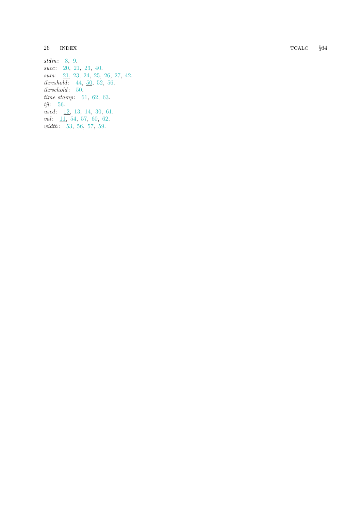TCALC §64

 $26$  INDEX

stdin: [8](#page-3-0), [9](#page-3-0).  $succ: \underline{20}, 21, 23, 40.$  $succ: \underline{20}, 21, 23, 40.$  $succ: \underline{20}, 21, 23, 40.$  $succ: \underline{20}, 21, 23, 40.$  $succ: \underline{20}, 21, 23, 40.$  $succ: \underline{20}, 21, 23, 40.$  $succ: \underline{20}, 21, 23, 40.$  $succ: \underline{20}, 21, 23, 40.$  $succ: \underline{20}, 21, 23, 40.$ sum: [21](#page-8-0), [23](#page-9-0), [24](#page-9-0), [25](#page-9-0), [26](#page-10-0), [27](#page-10-0), [42](#page-14-0).  $threshold: 44, 50, 52, 56.$  $threshold: 44, 50, 52, 56.$  $threshold: 44, 50, 52, 56.$  $threshold: 44, 50, 52, 56.$  $threshold: 44, 50, 52, 56.$  $threshold: 44, 50, 52, 56.$  $threshold: 44, 50, 52, 56.$  $threshold: 44, 50, 52, 56.$  $threshold: 44, 50, 52, 56.$ thrsehold: [50](#page-18-0). time\_stamp: [61](#page-23-0), [62](#page-23-0), [63](#page-23-0).  $tjl: \underline{56}$  $tjl: \underline{56}$  $tjl: \underline{56}$ . used: [12](#page-4-0), [13](#page-4-0), [14](#page-5-0), [30](#page-11-0), [61](#page-23-0).  $val: \underline{11}, 54, 57, 60, 62.$  $val: \underline{11}, 54, 57, 60, 62.$  $val: \underline{11}, 54, 57, 60, 62.$  $val: \underline{11}, 54, 57, 60, 62.$  $val: \underline{11}, 54, 57, 60, 62.$  $val: \underline{11}, 54, 57, 60, 62.$  $val: \underline{11}, 54, 57, 60, 62.$  $val: \underline{11}, 54, 57, 60, 62.$  $val: \underline{11}, 54, 57, 60, 62.$  $val: \underline{11}, 54, 57, 60, 62.$  $val: \underline{11}, 54, 57, 60, 62.$ width:  $\frac{53}{56}$  $\frac{53}{56}$  $\frac{53}{56}$  $\frac{53}{56}$  $\frac{53}{56}$ , 56, [57](#page-21-0), [59](#page-22-0).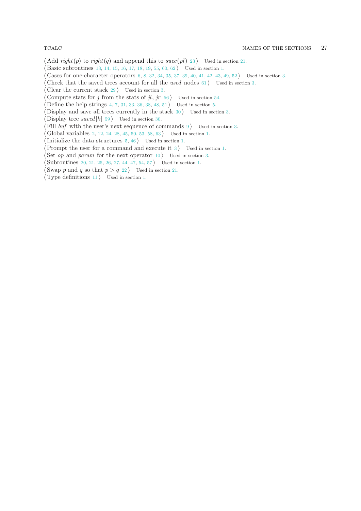- $\langle \text{Add } right(p) \text{ to } right(q) \text{ and append this to } succ(pl) \text{ 23} \rangle$  $\langle \text{Add } right(p) \text{ to } right(q) \text{ and append this to } succ(pl) \text{ 23} \rangle$  $\langle \text{Add } right(p) \text{ to } right(q) \text{ and append this to } succ(pl) \text{ 23} \rangle$  Used in section [21.](#page-8-0)
- Basic subroutines [13,](#page-4-0) [14](#page-5-0), [15,](#page-5-0) [16,](#page-5-0) [17](#page-6-0), [18,](#page-6-0) [19,](#page-6-0) [55](#page-20-0), [60,](#page-23-0) [62](#page-23-0) Used in section [1](#page-0-0).
- Cases for one-character operators  $6, 8, 32, 34, 35, 37, 39, 40, 41, 42, 43, 49, 52$  $6, 8, 32, 34, 35, 37, 39, 40, 41, 42, 43, 49, 52$  $6, 8, 32, 34, 35, 37, 39, 40, 41, 42, 43, 49, 52$  $6, 8, 32, 34, 35, 37, 39, 40, 41, 42, 43, 49, 52$  $6, 8, 32, 34, 35, 37, 39, 40, 41, 42, 43, 49, 52$  $6, 8, 32, 34, 35, 37, 39, 40, 41, 42, 43, 49, 52$  $6, 8, 32, 34, 35, 37, 39, 40, 41, 42, 43, 49, 52$  $6, 8, 32, 34, 35, 37, 39, 40, 41, 42, 43, 49, 52$  $6, 8, 32, 34, 35, 37, 39, 40, 41, 42, 43, 49, 52$  $6, 8, 32, 34, 35, 37, 39, 40, 41, 42, 43, 49, 52$  $6, 8, 32, 34, 35, 37, 39, 40, 41, 42, 43, 49, 52$  $6, 8, 32, 34, 35, 37, 39, 40, 41, 42, 43, 49, 52$  $6, 8, 32, 34, 35, 37, 39, 40, 41, 42, 43, 49, 52$  $6, 8, 32, 34, 35, 37, 39, 40, 41, 42, 43, 49, 52$  $6, 8, 32, 34, 35, 37, 39, 40, 41, 42, 43, 49, 52$  $6, 8, 32, 34, 35, 37, 39, 40, 41, 42, 43, 49, 52$  $6, 8, 32, 34, 35, 37, 39, 40, 41, 42, 43, 49, 52$  $6, 8, 32, 34, 35, 37, 39, 40, 41, 42, 43, 49, 52$  $6, 8, 32, 34, 35, 37, 39, 40, 41, 42, 43, 49, 52$  $6, 8, 32, 34, 35, 37, 39, 40, 41, 42, 43, 49, 52$  $6, 8, 32, 34, 35, 37, 39, 40, 41, 42, 43, 49, 52$  $6, 8, 32, 34, 35, 37, 39, 40, 41, 42, 43, 49, 52$  $6, 8, 32, 34, 35, 37, 39, 40, 41, 42, 43, 49, 52$  $6, 8, 32, 34, 35, 37, 39, 40, 41, 42, 43, 49, 52$  $6, 8, 32, 34, 35, 37, 39, 40, 41, 42, 43, 49, 52$  Used in section [3.](#page-2-0)
- Check that the saved trees account for all the used nodes  $61$  is Used in section [3.](#page-2-0)
- Clear the current stack  $29$  Used in section [3.](#page-2-0)
- Compute stats for j from the stats of jl, jr [56](#page-20-0) i Used in section [54.](#page-19-0)
- Define the help strings  $4, 7, 31, 33, 36, 38, 48, 51$  $4, 7, 31, 33, 36, 38, 48, 51$  $4, 7, 31, 33, 36, 38, 48, 51$  $4, 7, 31, 33, 36, 38, 48, 51$  $4, 7, 31, 33, 36, 38, 48, 51$  $4, 7, 31, 33, 36, 38, 48, 51$  $4, 7, 31, 33, 36, 38, 48, 51$  $4, 7, 31, 33, 36, 38, 48, 51$  $4, 7, 31, 33, 36, 38, 48, 51$  $4, 7, 31, 33, 36, 38, 48, 51$  $4, 7, 31, 33, 36, 38, 48, 51$  $4, 7, 31, 33, 36, 38, 48, 51$  $4, 7, 31, 33, 36, 38, 48, 51$  $4, 7, 31, 33, 36, 38, 48, 51$  $4, 7, 31, 33, 36, 38, 48, 51$  Used in section [5.](#page-2-0)
- Display and save all trees currently in the stack  $30$  ised in section [3](#page-2-0).
- Display tree saved  $[k]$  [59](#page-22-0) is Used in section [30.](#page-11-0)
- Fill buf with the user's next sequence of commands  $9$  ised in section [3.](#page-2-0)
- Global variables [2](#page-2-0), [12,](#page-4-0) [24](#page-9-0), [28](#page-11-0), [45,](#page-16-0) [50](#page-18-0), [53](#page-19-0), [58,](#page-21-0) [63](#page-23-0)  $\}$  Used in section [1](#page-0-0).
- Initialize the data structures  $5, 46$  $5, 46$  $5, 46$  Used in section [1.](#page-0-0)
- Prompt the user for a command and execute it  $3$  is Used in section [1](#page-0-0).
- Set op and param for the next operator  $10$  ised in section [3](#page-2-0).
- Subroutines [20,](#page-7-0) [21](#page-8-0), [25](#page-9-0), [26,](#page-10-0) [27](#page-10-0), [44](#page-16-0), [47,](#page-16-0) [54](#page-19-0), [57](#page-21-0) bused in section [1.](#page-0-0)
- Swap p and q so that  $p > q$  [22](#page-9-0)) Used in section [21](#page-8-0).
- $\langle$  Type definitions [11](#page-4-0)  $\rangle$  Used in section [1.](#page-0-0)